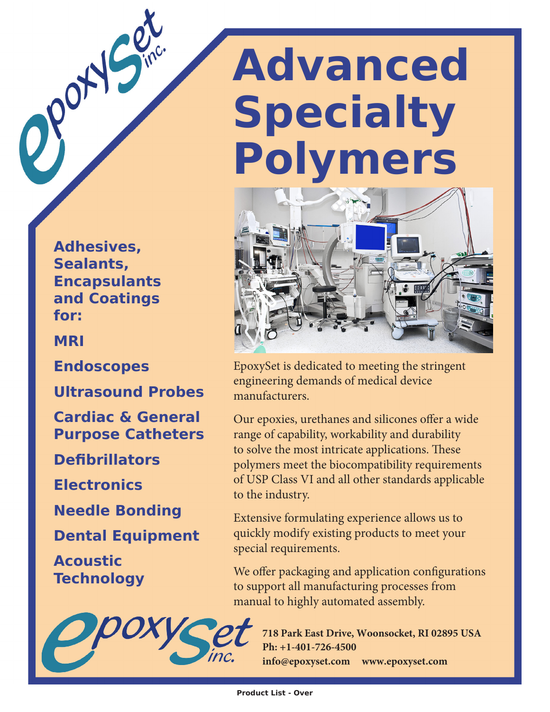**Adhesives, Sealants, Encapsulants and Coatings for:**

**MRI**

Port

**Endoscopes**

**Ultrasound Probes**

**Cardiac & General Purpose Catheters**

**Defibrillators**

**Electronics**

**Needle Bonding**

**Dental Equipment**

**Acoustic Technology**



## **Advanced Specialty Polymers**



EpoxySet is dedicated to meeting the stringent engineering demands of medical device manufacturers.

Our epoxies, urethanes and silicones offer a wide range of capability, workability and durability to solve the most intricate applications. These polymers meet the biocompatibility requirements of USP Class VI and all other standards applicable to the industry.

Extensive formulating experience allows us to quickly modify existing products to meet your special requirements.

We offer packaging and application configurations to support all manufacturing processes from manual to highly automated assembly.

> **718 Park East Drive, Woonsocket, RI 02895 USA Ph: +1-401-726-4500 info@epoxyset.com www.epoxyset.com**